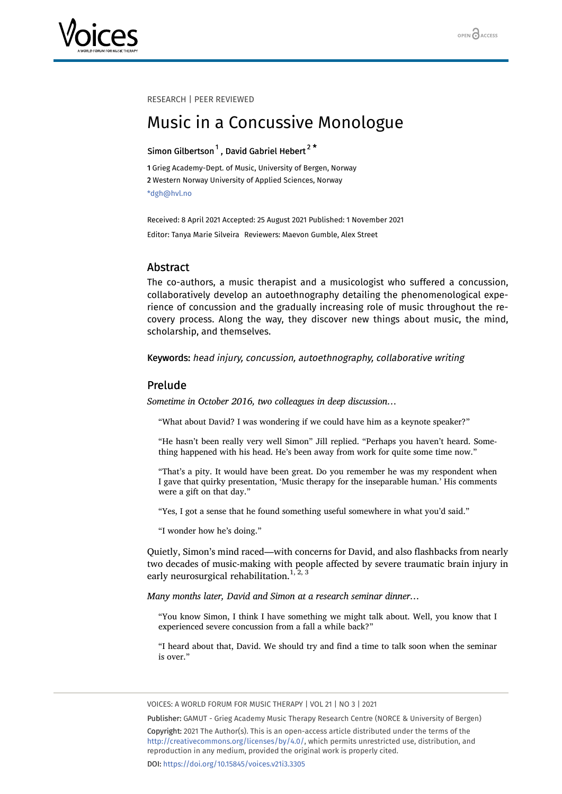

#### RESEARCH | PEER REVIEWED

# Music in a Concussive Monologue

## Simon Gilbertson  $^1$  $^1$  , David Gabriel Hebert  $^2$  $^2$   $^\star$

<span id="page-0-1"></span><span id="page-0-0"></span>1 Grieg Academy-Dept. of Music, University of Bergen, Norway 2 Western Norway University of Applied Sciences, Norway \*dgh@hvl.no

Received: 8 April 2021 Accepted: 25 August 2021 Published: 1 November 2021 Editor: Tanya Marie Silveira Reviewers: Maevon Gumble, Alex Street

#### Abstract

The co-authors, a music therapist and a musicologist who suffered a concussion, collaboratively develop an autoethnography detailing the phenomenological experience of concussion and the gradually increasing role of music throughout the recovery process. Along the way, they discover new things about music, the mind, scholarship, and themselves.

Keywords: head injury, concussion, autoethnography, collaborative writing

#### Prelude

*Sometime in October 2016, two colleagues in deep discussion…*

"What about David? I was wondering if we could have him as a keynote speaker?"

"He hasn't been really very well Simon" Jill replied. "Perhaps you haven't heard. Something happened with his head. He's been away from work for quite some time now."

"That's a pity. It would have been great. Do you remember he was my respondent when I gave that quirky presentation, 'Music therapy for the inseparable human.' His comments were a gift on that day."

"Yes, I got a sense that he found something useful somewhere in what you'd said."

"I wonder how he's doing."

Quietly, Simon's mind raced—with concerns for David, and also flashbacks from nearly two decades of music-making with people affected by severe traumatic brain injury in early neurosurgical rehabilitation.<sup>1, 2, 3</sup>

*Many months later, David and Simon at a research seminar dinner…*

"You know Simon, I think I have something we might talk about. Well, you know that I experienced severe concussion from a fall a while back?"

"I heard about that, David. We should try and find a time to talk soon when the seminar is over."

VOICES: A WORLD FORUM FOR MUSIC THERAPY | VOL 21 | NO 3 | 2021

Publisher: GAMUT - Grieg Academy Music Therapy Research Centre (NORCE & University of Bergen) Copyright: 2021 The Author(s). This is an open-access article distributed under the terms of the <http://creativecommons.org/licenses/by/4.0/>, which permits unrestricted use, distribution, and reproduction in any medium, provided the original work is properly cited. DOI: <https://doi.org/10.15845/voices.v21i3.3305>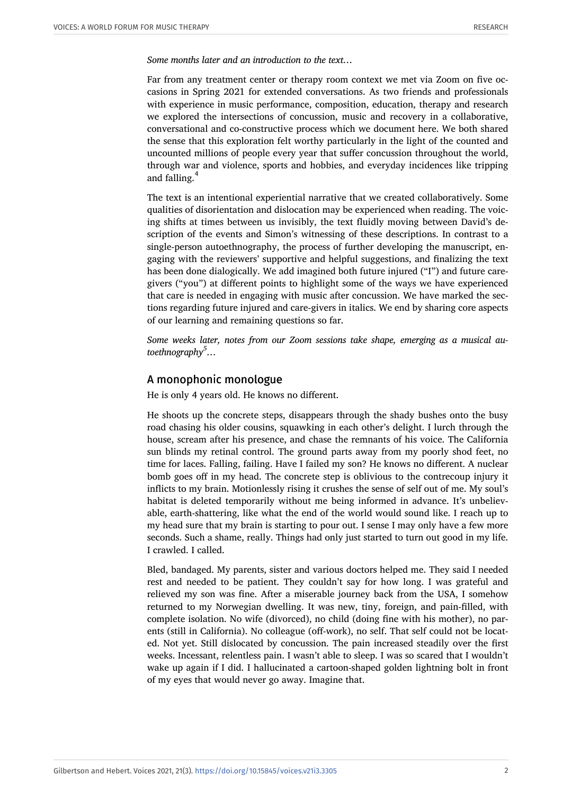*Some months later and an introduction to the text…*

Far from any treatment center or therapy room context we met via Zoom on five occasions in Spring 2021 for extended conversations. As two friends and professionals with experience in music performance, composition, education, therapy and research we explored the intersections of concussion, music and recovery in a collaborative, conversational and co-constructive process which we document here. We both shared the sense that this exploration felt worthy particularly in the light of the counted and uncounted millions of people every year that suffer concussion throughout the world, through war and violence, sports and hobbies, and everyday incidences like tripping and falling.<sup>4</sup>

The text is an intentional experiential narrative that we created collaboratively. Some qualities of disorientation and dislocation may be experienced when reading. The voicing shifts at times between us invisibly, the text fluidly moving between David's description of the events and Simon's witnessing of these descriptions. In contrast to a single-person autoethnography, the process of further developing the manuscript, engaging with the reviewers' supportive and helpful suggestions, and finalizing the text has been done dialogically. We add imagined both future injured ("I") and future caregivers ("you") at different points to highlight some of the ways we have experienced that care is needed in engaging with music after concussion. We have marked the sections regarding future injured and care-givers in italics. We end by sharing core aspects of our learning and remaining questions so far.

*Some weeks later, notes from our Zoom sessions take shape, emerging as a musical autoethnography<sup>5</sup>…*

## A monophonic monologue

He is only 4 years old. He knows no different.

He shoots up the concrete steps, disappears through the shady bushes onto the busy road chasing his older cousins, squawking in each other's delight. I lurch through the house, scream after his presence, and chase the remnants of his voice. The California sun blinds my retinal control. The ground parts away from my poorly shod feet, no time for laces. Falling, failing. Have I failed my son? He knows no different. A nuclear bomb goes off in my head. The concrete step is oblivious to the contrecoup injury it inflicts to my brain. Motionlessly rising it crushes the sense of self out of me. My soul's habitat is deleted temporarily without me being informed in advance. It's unbelievable, earth-shattering, like what the end of the world would sound like. I reach up to my head sure that my brain is starting to pour out. I sense I may only have a few more seconds. Such a shame, really. Things had only just started to turn out good in my life. I crawled. I called.

Bled, bandaged. My parents, sister and various doctors helped me. They said I needed rest and needed to be patient. They couldn't say for how long. I was grateful and relieved my son was fine. After a miserable journey back from the USA, I somehow returned to my Norwegian dwelling. It was new, tiny, foreign, and pain-filled, with complete isolation. No wife (divorced), no child (doing fine with his mother), no parents (still in California). No colleague (off-work), no self. That self could not be located. Not yet. Still dislocated by concussion. The pain increased steadily over the first weeks. Incessant, relentless pain. I wasn't able to sleep. I was so scared that I wouldn't wake up again if I did. I hallucinated a cartoon-shaped golden lightning bolt in front of my eyes that would never go away. Imagine that.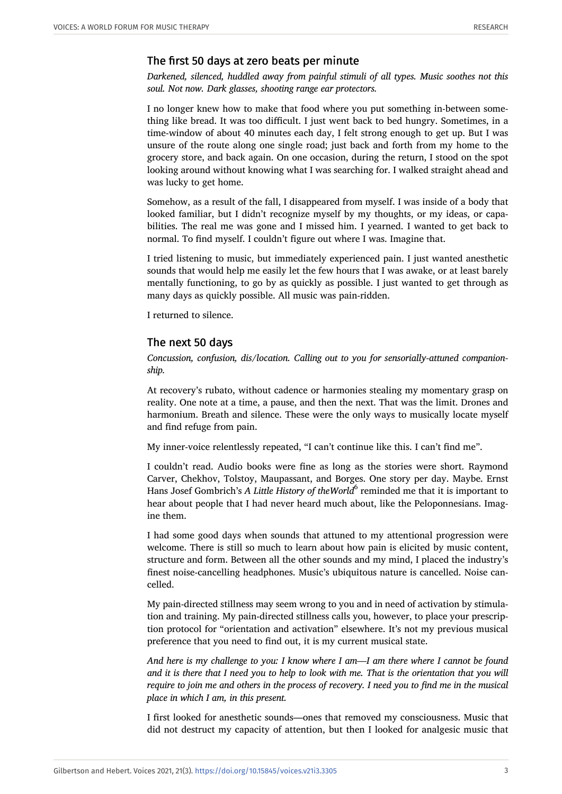## The first 50 days at zero beats per minute

*Darkened, silenced, huddled away from painful stimuli of all types. Music soothes not this soul. Not now. Dark glasses, shooting range ear protectors.*

I no longer knew how to make that food where you put something in-between something like bread. It was too difficult. I just went back to bed hungry. Sometimes, in a time-window of about 40 minutes each day, I felt strong enough to get up. But I was unsure of the route along one single road; just back and forth from my home to the grocery store, and back again. On one occasion, during the return, I stood on the spot looking around without knowing what I was searching for. I walked straight ahead and was lucky to get home.

Somehow, as a result of the fall, I disappeared from myself. I was inside of a body that looked familiar, but I didn't recognize myself by my thoughts, or my ideas, or capabilities. The real me was gone and I missed him. I yearned. I wanted to get back to normal. To find myself. I couldn't figure out where I was. Imagine that.

I tried listening to music, but immediately experienced pain. I just wanted anesthetic sounds that would help me easily let the few hours that I was awake, or at least barely mentally functioning, to go by as quickly as possible. I just wanted to get through as many days as quickly possible. All music was pain-ridden.

I returned to silence.

## The next 50 days

*Concussion, confusion, dis/location. Calling out to you for sensorially-attuned companionship.*

At recovery's rubato, without cadence or harmonies stealing my momentary grasp on reality. One note at a time, a pause, and then the next. That was the limit. Drones and harmonium. Breath and silence. These were the only ways to musically locate myself and find refuge from pain.

My inner-voice relentlessly repeated, "I can't continue like this. I can't find me".

I couldn't read. Audio books were fine as long as the stories were short. Raymond Carver, Chekhov, Tolstoy, Maupassant, and Borges. One story per day. Maybe. Ernst Hans Josef Gombrich's *A Little History of theWorld<sup>6</sup> reminded me that it is important to* hear about people that I had never heard much about, like the Peloponnesians. Imagine them.

I had some good days when sounds that attuned to my attentional progression were welcome. There is still so much to learn about how pain is elicited by music content, structure and form. Between all the other sounds and my mind, I placed the industry's finest noise-cancelling headphones. Music's ubiquitous nature is cancelled. Noise cancelled.

My pain-directed stillness may seem wrong to you and in need of activation by stimulation and training. My pain-directed stillness calls you, however, to place your prescription protocol for "orientation and activation" elsewhere. It's not my previous musical preference that you need to find out, it is my current musical state.

*And here is my challenge to you: I know where I am—I am there where I cannot be found and it is there that I need you to help to look with me. That is the orientation that you will require to join me and others in the process of recovery. I need you to find me in the musical place in which I am, in this present.*

I first looked for anesthetic sounds—ones that removed my consciousness. Music that did not destruct my capacity of attention, but then I looked for analgesic music that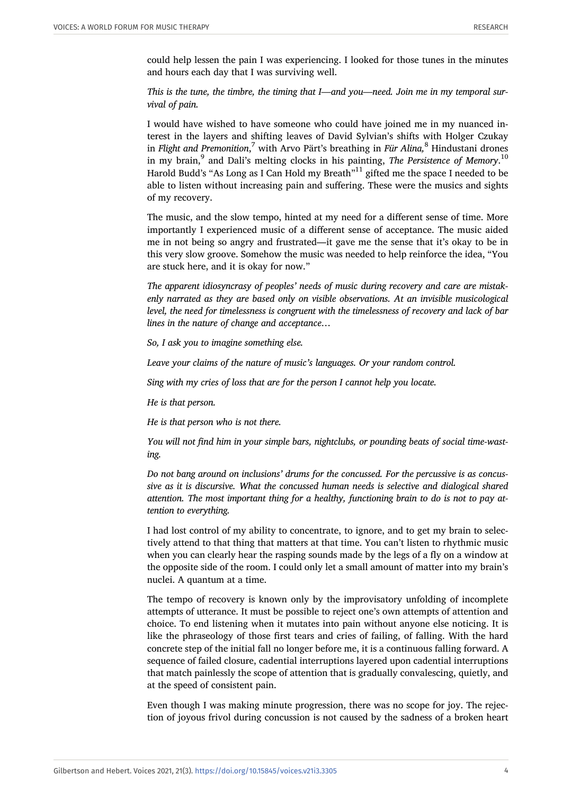could help lessen the pain I was experiencing. I looked for those tunes in the minutes and hours each day that I was surviving well.

*This is the tune, the timbre, the timing that I—and you—need. Join me in my temporal survival of pain.*

I would have wished to have someone who could have joined me in my nuanced interest in the layers and shifting leaves of David Sylvian's shifts with Holger Czukay in *Flight and Premonition*, <sup>7</sup> with Arvo Pärt's breathing in *Für Alina,*<sup>8</sup> Hindustani drones in my brain,<sup>9</sup> and Dali's melting clocks in his painting, *The Persistence of Memory*.<sup>10</sup> Harold Budd's "As Long as I Can Hold my Breath"<sup>11</sup> gifted me the space I needed to be able to listen without increasing pain and suffering. These were the musics and sights of my recovery.

The music, and the slow tempo, hinted at my need for a different sense of time. More importantly I experienced music of a different sense of acceptance. The music aided me in not being so angry and frustrated—it gave me the sense that it's okay to be in this very slow groove. Somehow the music was needed to help reinforce the idea, "You are stuck here, and it is okay for now."

*The apparent idiosyncrasy of peoples' needs of music during recovery and care are mistakenly narrated as they are based only on visible observations. At an invisible musicological level, the need for timelessness is congruent with the timelessness of recovery and lack of bar lines in the nature of change and acceptance…*

*So, I ask you to imagine something else.*

*Leave your claims of the nature of music's languages. Or your random control.*

*Sing with my cries of loss that are for the person I cannot help you locate.*

*He is that person.*

*He is that person who is not there.*

*You will not find him in your simple bars, nightclubs, or pounding beats of social time-wasting.*

*Do not bang around on inclusions' drums for the concussed. For the percussive is as concussive as it is discursive. What the concussed human needs is selective and dialogical shared attention. The most important thing for a healthy, functioning brain to do is not to pay attention to everything.*

I had lost control of my ability to concentrate, to ignore, and to get my brain to selectively attend to that thing that matters at that time. You can't listen to rhythmic music when you can clearly hear the rasping sounds made by the legs of a fly on a window at the opposite side of the room. I could only let a small amount of matter into my brain's nuclei. A quantum at a time.

The tempo of recovery is known only by the improvisatory unfolding of incomplete attempts of utterance. It must be possible to reject one's own attempts of attention and choice. To end listening when it mutates into pain without anyone else noticing. It is like the phraseology of those first tears and cries of failing, of falling. With the hard concrete step of the initial fall no longer before me, it is a continuous falling forward. A sequence of failed closure, cadential interruptions layered upon cadential interruptions that match painlessly the scope of attention that is gradually convalescing, quietly, and at the speed of consistent pain.

Even though I was making minute progression, there was no scope for joy. The rejection of joyous frivol during concussion is not caused by the sadness of a broken heart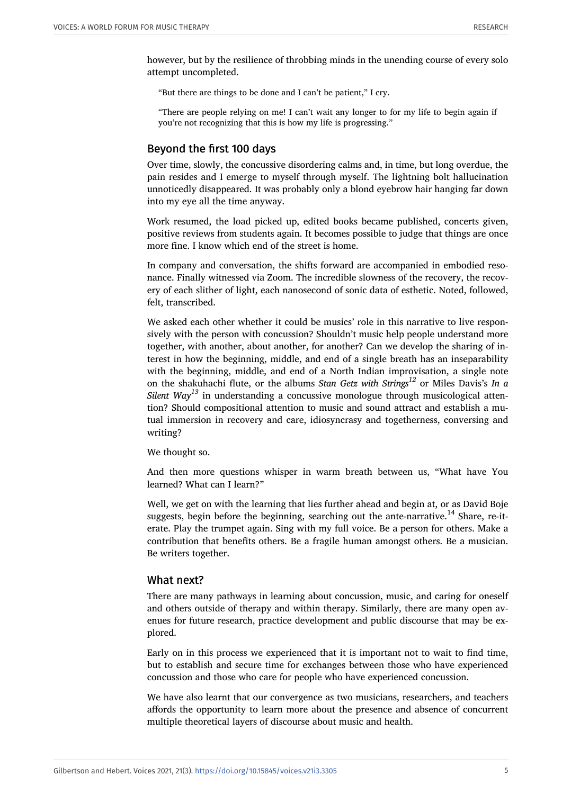however, but by the resilience of throbbing minds in the unending course of every solo attempt uncompleted.

"But there are things to be done and I can't be patient," I cry.

"There are people relying on me! I can't wait any longer to for my life to begin again if you're not recognizing that this is how my life is progressing."

### Beyond the first 100 days

Over time, slowly, the concussive disordering calms and, in time, but long overdue, the pain resides and I emerge to myself through myself. The lightning bolt hallucination unnoticedly disappeared. It was probably only a blond eyebrow hair hanging far down into my eye all the time anyway.

Work resumed, the load picked up, edited books became published, concerts given, positive reviews from students again. It becomes possible to judge that things are once more fine. I know which end of the street is home.

In company and conversation, the shifts forward are accompanied in embodied resonance. Finally witnessed via Zoom. The incredible slowness of the recovery, the recovery of each slither of light, each nanosecond of sonic data of esthetic. Noted, followed, felt, transcribed.

We asked each other whether it could be musics' role in this narrative to live responsively with the person with concussion? Shouldn't music help people understand more together, with another, about another, for another? Can we develop the sharing of interest in how the beginning, middle, and end of a single breath has an inseparability with the beginning, middle, and end of a North Indian improvisation, a single note on the shakuhachi flute, or the albums *Stan Getz with Strings<sup>12</sup>* or Miles Davis's *In a Silent Way<sup>13</sup>* in understanding a concussive monologue through musicological attention? Should compositional attention to music and sound attract and establish a mutual immersion in recovery and care, idiosyncrasy and togetherness, conversing and writing?

We thought so.

And then more questions whisper in warm breath between us, "What have You learned? What can I learn?"

Well, we get on with the learning that lies further ahead and begin at, or as David Boje suggests, begin before the beginning, searching out the ante-narrative.<sup>14</sup> Share, re-iterate. Play the trumpet again. Sing with my full voice. Be a person for others. Make a contribution that benefits others. Be a fragile human amongst others. Be a musician. Be writers together.

#### What next?

There are many pathways in learning about concussion, music, and caring for oneself and others outside of therapy and within therapy. Similarly, there are many open avenues for future research, practice development and public discourse that may be explored.

Early on in this process we experienced that it is important not to wait to find time, but to establish and secure time for exchanges between those who have experienced concussion and those who care for people who have experienced concussion.

We have also learnt that our convergence as two musicians, researchers, and teachers affords the opportunity to learn more about the presence and absence of concurrent multiple theoretical layers of discourse about music and health.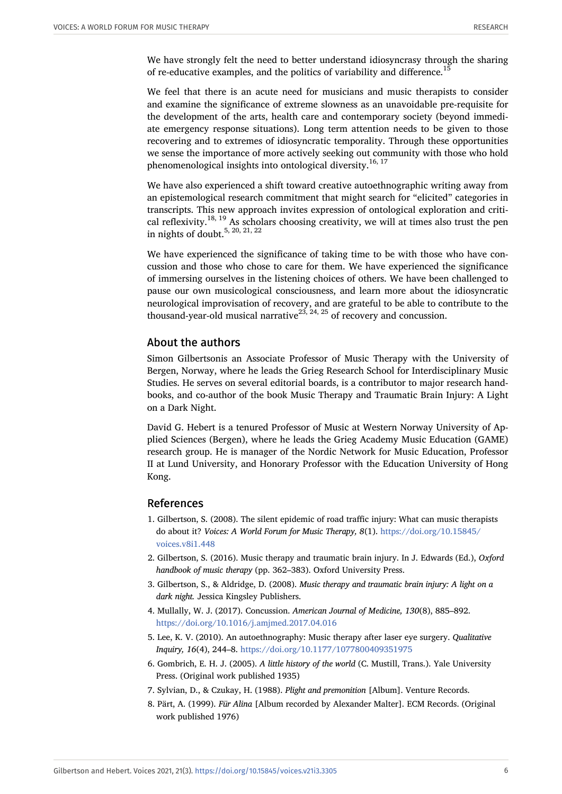We have strongly felt the need to better understand idiosyncrasy through the sharing of re-educative examples, and the politics of variability and difference.<sup>15</sup>

We feel that there is an acute need for musicians and music therapists to consider and examine the significance of extreme slowness as an unavoidable pre-requisite for the development of the arts, health care and contemporary society (beyond immediate emergency response situations). Long term attention needs to be given to those recovering and to extremes of idiosyncratic temporality. Through these opportunities we sense the importance of more actively seeking out community with those who hold phenomenological insights into ontological diversity.<sup>16, 17</sup>

We have also experienced a shift toward creative autoethnographic writing away from an epistemological research commitment that might search for "elicited" categories in transcripts. This new approach invites expression of ontological exploration and critical reflexivity.<sup>18, 19</sup> As scholars choosing creativity, we will at times also trust the pen in nights of doubt.<sup>5, 20, 21, 22</sup>

We have experienced the significance of taking time to be with those who have concussion and those who chose to care for them. We have experienced the significance of immersing ourselves in the listening choices of others. We have been challenged to pause our own musicological consciousness, and learn more about the idiosyncratic neurological improvisation of recovery, and are grateful to be able to contribute to the thousand-year-old musical narrative<sup>23, 24, 25</sup> of recovery and concussion.

### About the authors

Simon Gilbertsonis an Associate Professor of Music Therapy with the University of Bergen, Norway, where he leads the Grieg Research School for Interdisciplinary Music Studies. He serves on several editorial boards, is a contributor to major research handbooks, and co-author of the book Music Therapy and Traumatic Brain Injury: A Light on a Dark Night.

David G. Hebert is a tenured Professor of Music at Western Norway University of Applied Sciences (Bergen), where he leads the Grieg Academy Music Education (GAME) research group. He is manager of the Nordic Network for Music Education, Professor II at Lund University, and Honorary Professor with the Education University of Hong Kong.

## References

- 1. Gilbertson, S. (2008). The silent epidemic of road traffic injury: What can music therapists do about it? *Voices: A World Forum for Music Therapy, 8*(1). [https://doi.org/10.15845/](https://doi.org/10.15845/voices.v8i1.448) voices v8i1.448
- 2. Gilbertson, S. (2016). Music therapy and traumatic brain injury. In J. Edwards (Ed.), *Oxford handbook of music therapy* (pp. 362–383). Oxford University Press.
- 3. Gilbertson, S., & Aldridge, D. (2008). *Music therapy and traumatic brain injury: A light on a dark night.* Jessica Kingsley Publishers.
- 4. Mullally, W. J. (2017). Concussion. *American Journal of Medicine, 130*(8), 885–892. <https://doi.org/10.1016/j.amjmed.2017.04.016>
- 5. Lee, K. V. (2010). An autoethnography: Music therapy after laser eye surgery. *Qualitative Inquiry, 16*(4), 244–8. <https://doi.org/10.1177/1077800409351975>
- 6. Gombrich, E. H. J. (2005). *A little history of the world* (C. Mustill, Trans.). Yale University Press. (Original work published 1935)
- 7. Sylvian, D., & Czukay, H. (1988). *Plight and premonition* [Album]. Venture Records.
- 8. Pärt, A. (1999). *Für Alina* [Album recorded by Alexander Malter]. ECM Records. (Original work published 1976)